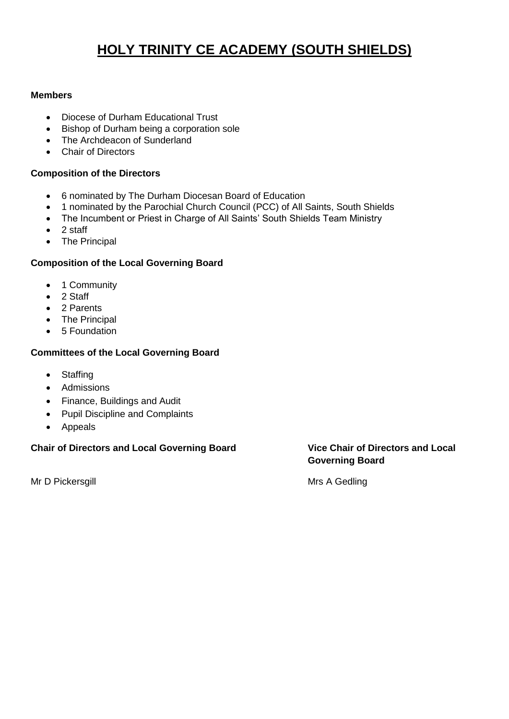# **HOLY TRINITY CE ACADEMY (SOUTH SHIELDS)**

### **Members**

- Diocese of Durham Educational Trust
- Bishop of Durham being a corporation sole
- The Archdeacon of Sunderland
- Chair of Directors

#### **Composition of the Directors**

- 6 nominated by The Durham Diocesan Board of Education
- 1 nominated by the Parochial Church Council (PCC) of All Saints, South Shields
- The Incumbent or Priest in Charge of All Saints' South Shields Team Ministry
- 2 staff
- The Principal

## **Composition of the Local Governing Board**

- 1 Community
- 2 Staff
- 2 Parents
- The Principal
- 5 Foundation

#### **Committees of the Local Governing Board**

- Staffing
- Admissions
- Finance, Buildings and Audit
- Pupil Discipline and Complaints
- Appeals

#### **Chair of Directors and Local Governing Board Vice Chair of Directors and Local**

Mr D Pickersgill **Mrs** A Gedling

**Governing Board**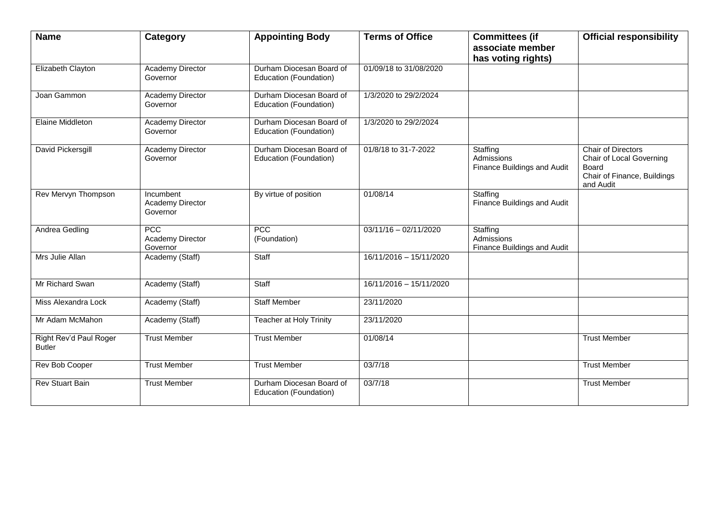| <b>Name</b>                             | Category                                  | <b>Appointing Body</b>                             | <b>Terms of Office</b>  | <b>Committees (if</b><br>associate member<br>has voting rights) | <b>Official responsibility</b>                                                                      |
|-----------------------------------------|-------------------------------------------|----------------------------------------------------|-------------------------|-----------------------------------------------------------------|-----------------------------------------------------------------------------------------------------|
| Elizabeth Clayton                       | <b>Academy Director</b><br>Governor       | Durham Diocesan Board of<br>Education (Foundation) | 01/09/18 to 31/08/2020  |                                                                 |                                                                                                     |
| Joan Gammon                             | <b>Academy Director</b><br>Governor       | Durham Diocesan Board of<br>Education (Foundation) | 1/3/2020 to 29/2/2024   |                                                                 |                                                                                                     |
| Elaine Middleton                        | Academy Director<br>Governor              | Durham Diocesan Board of<br>Education (Foundation) | 1/3/2020 to 29/2/2024   |                                                                 |                                                                                                     |
| David Pickersgill                       | <b>Academy Director</b><br>Governor       | Durham Diocesan Board of<br>Education (Foundation) | 01/8/18 to 31-7-2022    | Staffing<br>Admissions<br>Finance Buildings and Audit           | Chair of Directors<br>Chair of Local Governing<br>Board<br>Chair of Finance, Buildings<br>and Audit |
| Rev Mervyn Thompson                     | Incumbent<br>Academy Director<br>Governor | By virtue of position                              | 01/08/14                | Staffing<br>Finance Buildings and Audit                         |                                                                                                     |
| Andrea Gedling                          | PCC<br>Academy Director<br>Governor       | PCC<br>(Foundation)                                | $03/11/16 - 02/11/2020$ | Staffing<br>Admissions<br>Finance Buildings and Audit           |                                                                                                     |
| Mrs Julie Allan                         | Academy (Staff)                           | Staff                                              | 16/11/2016 - 15/11/2020 |                                                                 |                                                                                                     |
| Mr Richard Swan                         | Academy (Staff)                           | Staff                                              | 16/11/2016 - 15/11/2020 |                                                                 |                                                                                                     |
| Miss Alexandra Lock                     | Academy (Staff)                           | <b>Staff Member</b>                                | 23/11/2020              |                                                                 |                                                                                                     |
| Mr Adam McMahon                         | Academy (Staff)                           | Teacher at Holy Trinity                            | 23/11/2020              |                                                                 |                                                                                                     |
| Right Rev'd Paul Roger<br><b>Butler</b> | <b>Trust Member</b>                       | <b>Trust Member</b>                                | 01/08/14                |                                                                 | <b>Trust Member</b>                                                                                 |
| Rev Bob Cooper                          | <b>Trust Member</b>                       | <b>Trust Member</b>                                | 03/7/18                 |                                                                 | <b>Trust Member</b>                                                                                 |
| <b>Rev Stuart Bain</b>                  | <b>Trust Member</b>                       | Durham Diocesan Board of<br>Education (Foundation) | 03/7/18                 |                                                                 | <b>Trust Member</b>                                                                                 |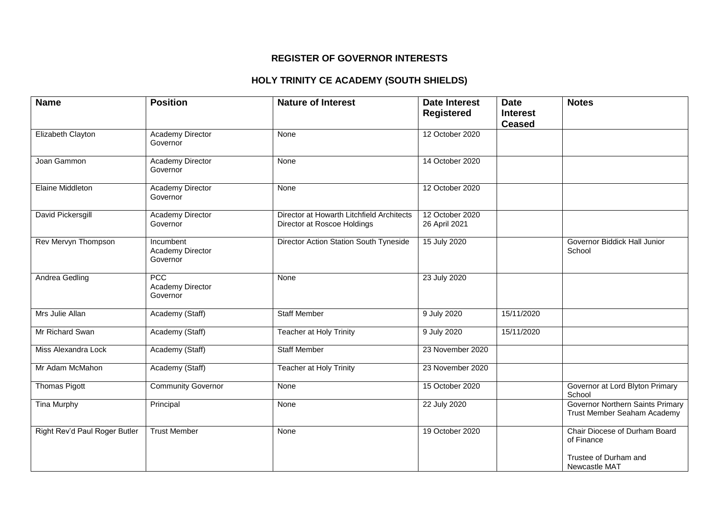#### **REGISTER OF GOVERNOR INTERESTS**

# **HOLY TRINITY CE ACADEMY (SOUTH SHIELDS)**

| <b>Name</b>                   | <b>Position</b>                           | <b>Nature of Interest</b>                                                | <b>Date Interest</b><br><b>Registered</b> | <b>Date</b><br><b>Interest</b><br><b>Ceased</b> | <b>Notes</b>                                                    |
|-------------------------------|-------------------------------------------|--------------------------------------------------------------------------|-------------------------------------------|-------------------------------------------------|-----------------------------------------------------------------|
| Elizabeth Clayton             | <b>Academy Director</b><br>Governor       | None                                                                     | 12 October 2020                           |                                                 |                                                                 |
| Joan Gammon                   | <b>Academy Director</b><br>Governor       | None                                                                     | 14 October 2020                           |                                                 |                                                                 |
| Elaine Middleton              | Academy Director<br>Governor              | None                                                                     | 12 October 2020                           |                                                 |                                                                 |
| David Pickersgill             | <b>Academy Director</b><br>Governor       | Director at Howarth Litchfield Architects<br>Director at Roscoe Holdings | 12 October 2020<br>26 April 2021          |                                                 |                                                                 |
| Rev Mervyn Thompson           | Incumbent<br>Academy Director<br>Governor | Director Action Station South Tyneside                                   | 15 July 2020                              |                                                 | Governor Biddick Hall Junior<br>School                          |
| Andrea Gedling                | PCC<br>Academy Director<br>Governor       | None                                                                     | 23 July 2020                              |                                                 |                                                                 |
| Mrs Julie Allan               | Academy (Staff)                           | <b>Staff Member</b>                                                      | 9 July 2020                               | 15/11/2020                                      |                                                                 |
| Mr Richard Swan               | Academy (Staff)                           | <b>Teacher at Holy Trinity</b>                                           | 9 July 2020                               | 15/11/2020                                      |                                                                 |
| Miss Alexandra Lock           | Academy (Staff)                           | <b>Staff Member</b>                                                      | 23 November 2020                          |                                                 |                                                                 |
| Mr Adam McMahon               | Academy (Staff)                           | Teacher at Holy Trinity                                                  | 23 November 2020                          |                                                 |                                                                 |
| <b>Thomas Pigott</b>          | <b>Community Governor</b>                 | None                                                                     | 15 October 2020                           |                                                 | Governor at Lord Blyton Primary<br>School                       |
| <b>Tina Murphy</b>            | Principal                                 | None                                                                     | 22 July 2020                              |                                                 | Governor Northern Saints Primary<br>Trust Member Seaham Academy |
| Right Rev'd Paul Roger Butler | <b>Trust Member</b>                       | None                                                                     | 19 October 2020                           |                                                 | Chair Diocese of Durham Board<br>of Finance                     |
|                               |                                           |                                                                          |                                           |                                                 | Trustee of Durham and<br>Newcastle MAT                          |